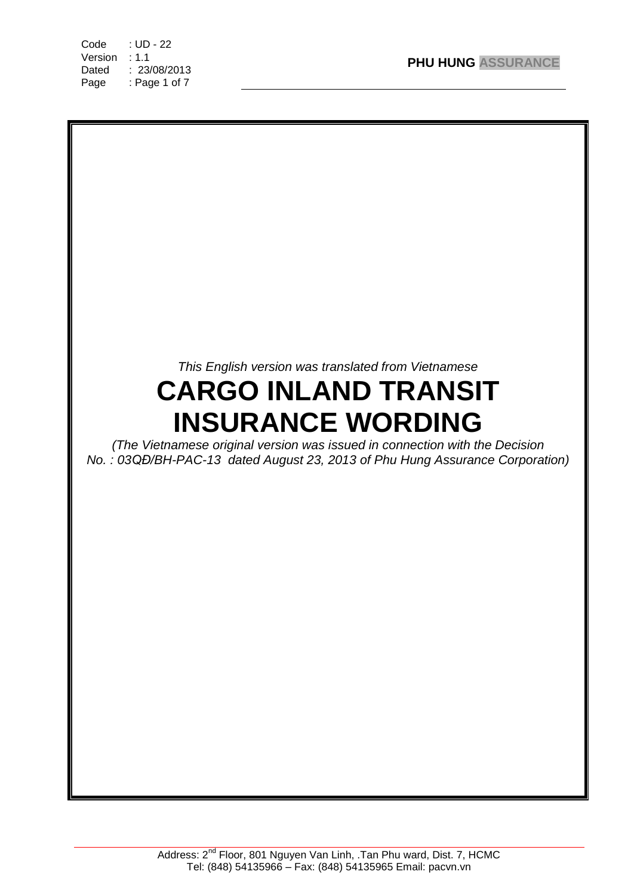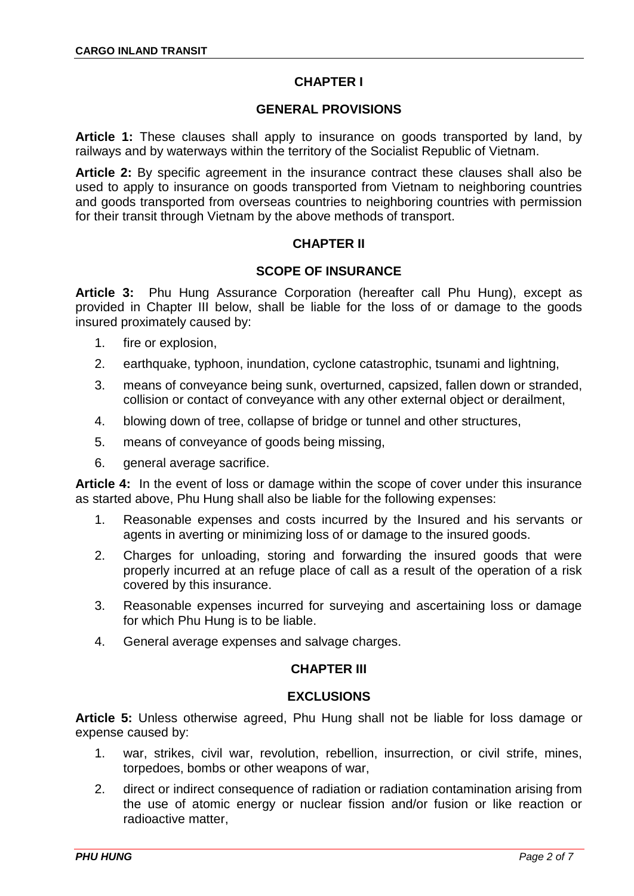# **CHAPTER I**

## **GENERAL PROVISIONS**

**Article 1:** These clauses shall apply to insurance on goods transported by land, by railways and by waterways within the territory of the Socialist Republic of Vietnam.

**Article 2:** By specific agreement in the insurance contract these clauses shall also be used to apply to insurance on goods transported from Vietnam to neighboring countries and goods transported from overseas countries to neighboring countries with permission for their transit through Vietnam by the above methods of transport.

## **CHAPTER II**

## **SCOPE OF INSURANCE**

**Article 3:** Phu Hung Assurance Corporation (hereafter call Phu Hung), except as provided in Chapter III below, shall be liable for the loss of or damage to the goods insured proximately caused by:

- 1. fire or explosion,
- 2. earthquake, typhoon, inundation, cyclone catastrophic, tsunami and lightning,
- 3. means of conveyance being sunk, overturned, capsized, fallen down or stranded, collision or contact of conveyance with any other external object or derailment,
- 4. blowing down of tree, collapse of bridge or tunnel and other structures,
- 5. means of conveyance of goods being missing,
- 6. general average sacrifice.

**Article 4:** In the event of loss or damage within the scope of cover under this insurance as started above, Phu Hung shall also be liable for the following expenses:

- 1. Reasonable expenses and costs incurred by the Insured and his servants or agents in averting or minimizing loss of or damage to the insured goods.
- 2. Charges for unloading, storing and forwarding the insured goods that were properly incurred at an refuge place of call as a result of the operation of a risk covered by this insurance.
- 3. Reasonable expenses incurred for surveying and ascertaining loss or damage for which Phu Hung is to be liable.
- 4. General average expenses and salvage charges.

### **CHAPTER III**

### **EXCLUSIONS**

**Article 5:** Unless otherwise agreed, Phu Hung shall not be liable for loss damage or expense caused by:

- 1. war, strikes, civil war, revolution, rebellion, insurrection, or civil strife, mines, torpedoes, bombs or other weapons of war,
- 2. direct or indirect consequence of radiation or radiation contamination arising from the use of atomic energy or nuclear fission and/or fusion or like reaction or radioactive matter,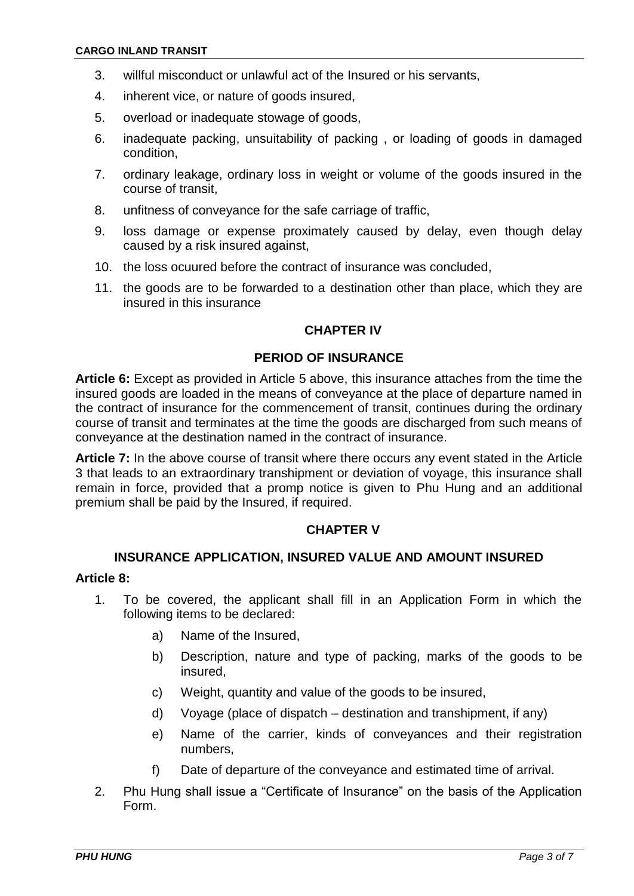- 3. willful misconduct or unlawful act of the Insured or his servants,
- 4. inherent vice, or nature of goods insured,
- 5. overload or inadequate stowage of goods,
- 6. inadequate packing, unsuitability of packing , or loading of goods in damaged condition,
- 7. ordinary leakage, ordinary loss in weight or volume of the goods insured in the course of transit,
- 8. unfitness of conveyance for the safe carriage of traffic,
- 9. loss damage or expense proximately caused by delay, even though delay caused by a risk insured against,
- 10. the loss ocuured before the contract of insurance was concluded,
- 11. the goods are to be forwarded to a destination other than place, which they are insured in this insurance

#### **CHAPTER IV**

#### **PERIOD OF INSURANCE**

**Article 6:** Except as provided in Article 5 above, this insurance attaches from the time the insured goods are loaded in the means of conveyance at the place of departure named in the contract of insurance for the commencement of transit, continues during the ordinary course of transit and terminates at the time the goods are discharged from such means of conveyance at the destination named in the contract of insurance.

**Article 7:** In the above course of transit where there occurs any event stated in the Article 3 that leads to an extraordinary transhipment or deviation of voyage, this insurance shall remain in force, provided that a promp notice is given to Phu Hung and an additional premium shall be paid by the Insured, if required.

## **CHAPTER V**

#### **INSURANCE APPLICATION, INSURED VALUE AND AMOUNT INSURED**

## **Article 8:**

- 1. To be covered, the applicant shall fill in an Application Form in which the following items to be declared:
	- a) Name of the Insured,
	- b) Description, nature and type of packing, marks of the goods to be insured,
	- c) Weight, quantity and value of the goods to be insured,
	- d) Voyage (place of dispatch destination and transhipment, if any)
	- e) Name of the carrier, kinds of conveyances and their registration numbers,
	- f) Date of departure of the conveyance and estimated time of arrival.
- 2. Phu Hung shall issue a "Certificate of Insurance" on the basis of the Application Form.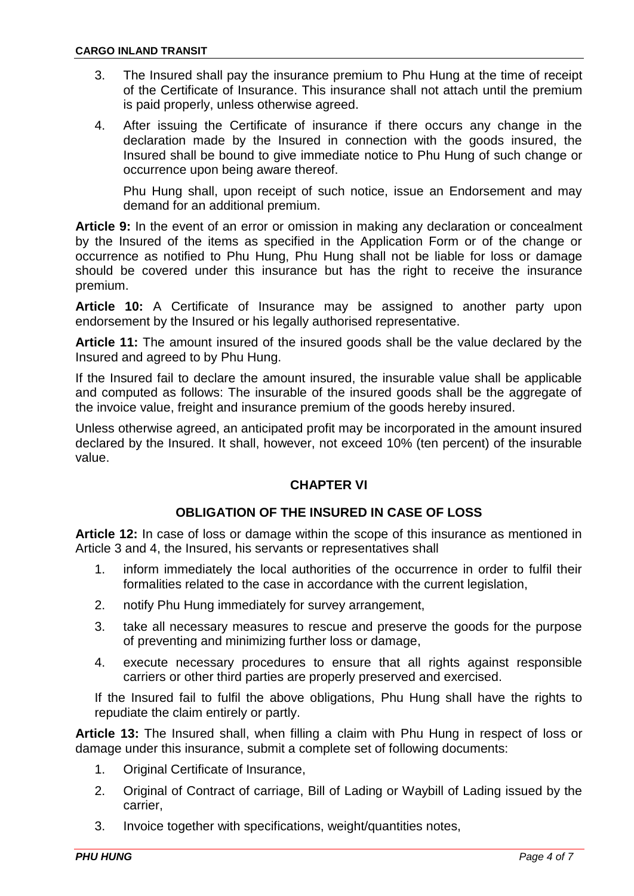- 3. The Insured shall pay the insurance premium to Phu Hung at the time of receipt of the Certificate of Insurance. This insurance shall not attach until the premium is paid properly, unless otherwise agreed.
- 4. After issuing the Certificate of insurance if there occurs any change in the declaration made by the Insured in connection with the goods insured, the Insured shall be bound to give immediate notice to Phu Hung of such change or occurrence upon being aware thereof.

Phu Hung shall, upon receipt of such notice, issue an Endorsement and may demand for an additional premium.

**Article 9:** In the event of an error or omission in making any declaration or concealment by the Insured of the items as specified in the Application Form or of the change or occurrence as notified to Phu Hung, Phu Hung shall not be liable for loss or damage should be covered under this insurance but has the right to receive the insurance premium.

**Article 10:** A Certificate of Insurance may be assigned to another party upon endorsement by the Insured or his legally authorised representative.

**Article 11:** The amount insured of the insured goods shall be the value declared by the Insured and agreed to by Phu Hung.

If the Insured fail to declare the amount insured, the insurable value shall be applicable and computed as follows: The insurable of the insured goods shall be the aggregate of the invoice value, freight and insurance premium of the goods hereby insured.

Unless otherwise agreed, an anticipated profit may be incorporated in the amount insured declared by the Insured. It shall, however, not exceed 10% (ten percent) of the insurable value.

## **CHAPTER VI**

### **OBLIGATION OF THE INSURED IN CASE OF LOSS**

**Article 12:** In case of loss or damage within the scope of this insurance as mentioned in Article 3 and 4, the Insured, his servants or representatives shall

- 1. inform immediately the local authorities of the occurrence in order to fulfil their formalities related to the case in accordance with the current legislation,
- 2. notify Phu Hung immediately for survey arrangement,
- 3. take all necessary measures to rescue and preserve the goods for the purpose of preventing and minimizing further loss or damage,
- 4. execute necessary procedures to ensure that all rights against responsible carriers or other third parties are properly preserved and exercised.

If the Insured fail to fulfil the above obligations, Phu Hung shall have the rights to repudiate the claim entirely or partly.

**Article 13:** The Insured shall, when filling a claim with Phu Hung in respect of loss or damage under this insurance, submit a complete set of following documents:

- 1. Original Certificate of Insurance,
- 2. Original of Contract of carriage, Bill of Lading or Waybill of Lading issued by the carrier,
- 3. Invoice together with specifications, weight/quantities notes,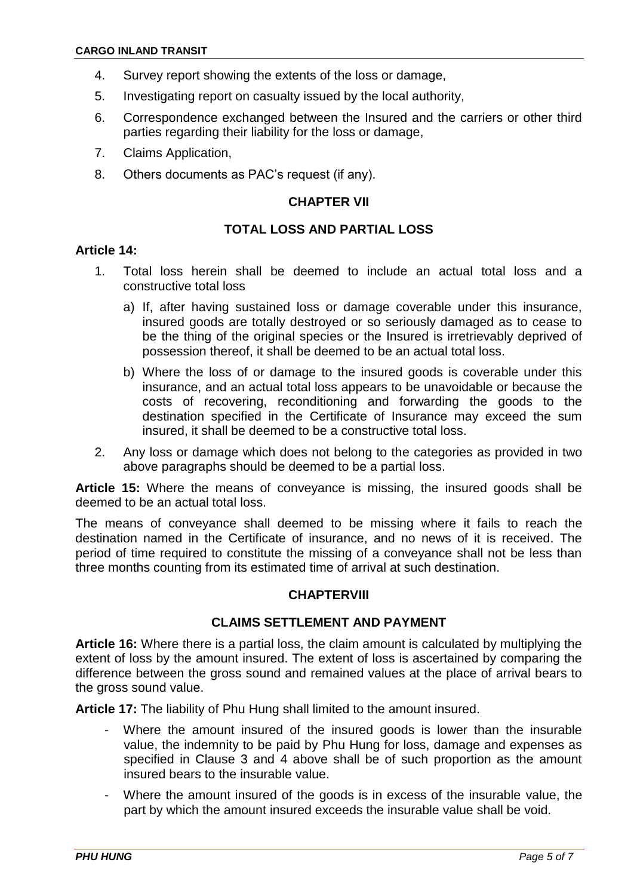- 4. Survey report showing the extents of the loss or damage,
- 5. Investigating report on casualty issued by the local authority,
- 6. Correspondence exchanged between the Insured and the carriers or other third parties regarding their liability for the loss or damage,
- 7. Claims Application,
- 8. Others documents as PAC's request (if any).

#### **CHAPTER VII**

### **TOTAL LOSS AND PARTIAL LOSS**

#### **Article 14:**

- 1. Total loss herein shall be deemed to include an actual total loss and a constructive total loss
	- a) If, after having sustained loss or damage coverable under this insurance, insured goods are totally destroyed or so seriously damaged as to cease to be the thing of the original species or the Insured is irretrievably deprived of possession thereof, it shall be deemed to be an actual total loss.
	- b) Where the loss of or damage to the insured goods is coverable under this insurance, and an actual total loss appears to be unavoidable or because the costs of recovering, reconditioning and forwarding the goods to the destination specified in the Certificate of Insurance may exceed the sum insured, it shall be deemed to be a constructive total loss.
- 2. Any loss or damage which does not belong to the categories as provided in two above paragraphs should be deemed to be a partial loss.

**Article 15:** Where the means of conveyance is missing, the insured goods shall be deemed to be an actual total loss.

The means of conveyance shall deemed to be missing where it fails to reach the destination named in the Certificate of insurance, and no news of it is received. The period of time required to constitute the missing of a conveyance shall not be less than three months counting from its estimated time of arrival at such destination.

#### **CHAPTERVIII**

### **CLAIMS SETTLEMENT AND PAYMENT**

**Article 16:** Where there is a partial loss, the claim amount is calculated by multiplying the extent of loss by the amount insured. The extent of loss is ascertained by comparing the difference between the gross sound and remained values at the place of arrival bears to the gross sound value.

**Article 17:** The liability of Phu Hung shall limited to the amount insured.

- Where the amount insured of the insured goods is lower than the insurable value, the indemnity to be paid by Phu Hung for loss, damage and expenses as specified in Clause 3 and 4 above shall be of such proportion as the amount insured bears to the insurable value.
- Where the amount insured of the goods is in excess of the insurable value, the part by which the amount insured exceeds the insurable value shall be void.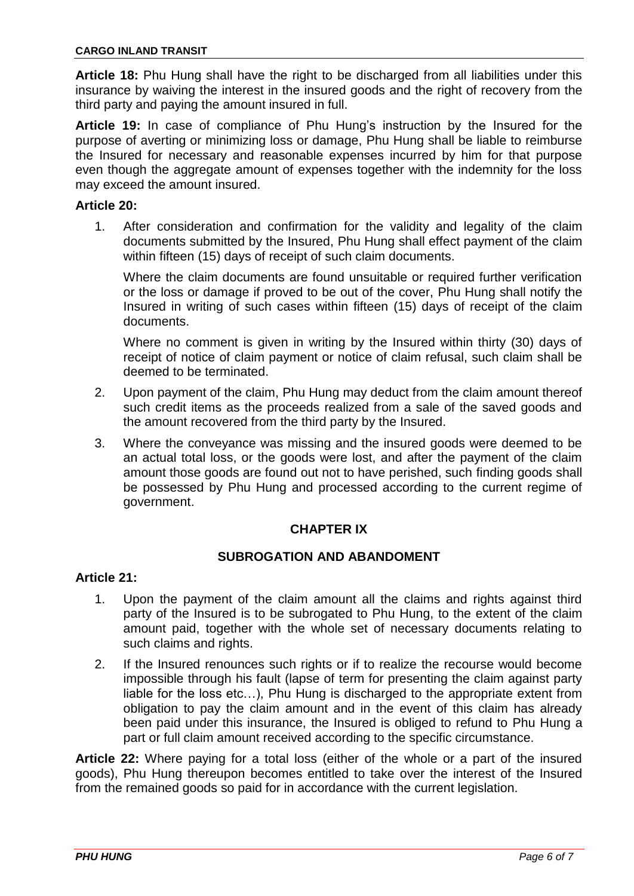**Article 18:** Phu Hung shall have the right to be discharged from all liabilities under this insurance by waiving the interest in the insured goods and the right of recovery from the third party and paying the amount insured in full.

**Article 19:** In case of compliance of Phu Hung's instruction by the Insured for the purpose of averting or minimizing loss or damage, Phu Hung shall be liable to reimburse the Insured for necessary and reasonable expenses incurred by him for that purpose even though the aggregate amount of expenses together with the indemnity for the loss may exceed the amount insured.

### **Article 20:**

1. After consideration and confirmation for the validity and legality of the claim documents submitted by the Insured, Phu Hung shall effect payment of the claim within fifteen (15) days of receipt of such claim documents.

Where the claim documents are found unsuitable or required further verification or the loss or damage if proved to be out of the cover, Phu Hung shall notify the Insured in writing of such cases within fifteen (15) days of receipt of the claim documents.

Where no comment is given in writing by the Insured within thirty (30) days of receipt of notice of claim payment or notice of claim refusal, such claim shall be deemed to be terminated.

- 2. Upon payment of the claim, Phu Hung may deduct from the claim amount thereof such credit items as the proceeds realized from a sale of the saved goods and the amount recovered from the third party by the Insured.
- 3. Where the conveyance was missing and the insured goods were deemed to be an actual total loss, or the goods were lost, and after the payment of the claim amount those goods are found out not to have perished, such finding goods shall be possessed by Phu Hung and processed according to the current regime of government.

### **CHAPTER IX**

## **SUBROGATION AND ABANDOMENT**

#### **Article 21:**

- 1. Upon the payment of the claim amount all the claims and rights against third party of the Insured is to be subrogated to Phu Hung, to the extent of the claim amount paid, together with the whole set of necessary documents relating to such claims and rights.
- 2. If the Insured renounces such rights or if to realize the recourse would become impossible through his fault (lapse of term for presenting the claim against party liable for the loss etc…), Phu Hung is discharged to the appropriate extent from obligation to pay the claim amount and in the event of this claim has already been paid under this insurance, the Insured is obliged to refund to Phu Hung a part or full claim amount received according to the specific circumstance.

**Article 22:** Where paying for a total loss (either of the whole or a part of the insured goods), Phu Hung thereupon becomes entitled to take over the interest of the Insured from the remained goods so paid for in accordance with the current legislation.